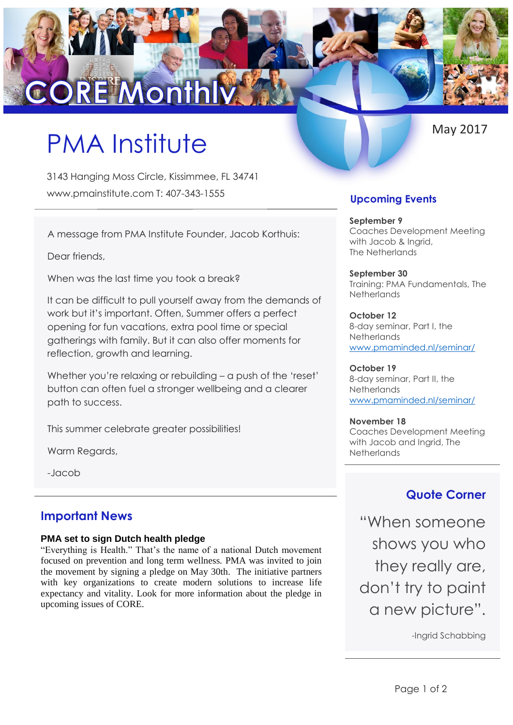# **CORE Month**

# PMA Institute

3143 Hanging Moss Circle, Kissimmee, FL 34741 www.pmainstitute.com T: 407-343-1555

A message from PMA Institute Founder, Jacob Korthuis:

Dear friends,

When was the last time you took a break?

It can be difficult to pull yourself away from the demands of work but it's important. Often, Summer offers a perfect opening for fun vacations, extra pool time or special gatherings with family. But it can also offer moments for reflection, growth and learning.

Whether you're relaxing or rebuilding – a push of the 'reset' button can often fuel a stronger wellbeing and a clearer path to success.

This summer celebrate greater possibilities!

Warm Regards,

-Jacob

# **Important News**

### **PMA set to sign Dutch health pledge**

"Everything is Health." That's the name of a national Dutch movement focused on prevention and long term wellness. PMA was invited to join the movement by signing a pledge on May 30th. The initiative partners with key organizations to create modern solutions to increase life expectancy and vitality. Look for more information about the pledge in upcoming issues of CORE.

# **Upcoming Events**

**September 9** Coaches Development Meeting with Jacob & Ingrid, The Netherlands

**September 30**  Training: PMA Fundamentals, The **Netherlands** 

**October 12** 8-day seminar, Part I, the **Netherlands** [www.pmaminded.nl/seminar/](http://www.pmaminded.nl/seminar/)

**October 19**  8-day seminar, Part II, the **Netherlands** [www.pmaminded.nl/seminar/](http://www.pmaminded.nl/seminar/)

**November 18**  Coaches Development Meeting with Jacob and Ingrid, The **Netherlands** 

# **Quote Corner**

"When someone shows you who they really are, don't try to paint a new picture".

-Ingrid Schabbing

May 2017